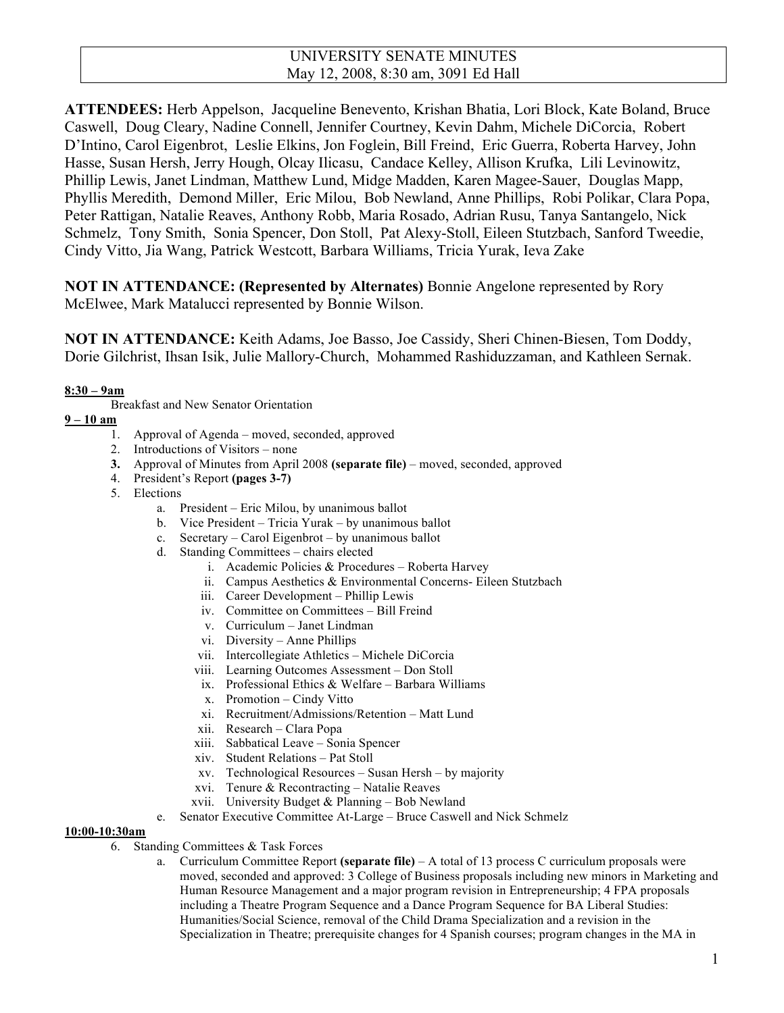### UNIVERSITY SENATE MINUTES May 12, 2008, 8:30 am, 3091 Ed Hall

**ATTENDEES:** Herb Appelson, Jacqueline Benevento, Krishan Bhatia, Lori Block, Kate Boland, Bruce Caswell, Doug Cleary, Nadine Connell, Jennifer Courtney, Kevin Dahm, Michele DiCorcia, Robert D'Intino, Carol Eigenbrot, Leslie Elkins, Jon Foglein, Bill Freind, Eric Guerra, Roberta Harvey, John Hasse, Susan Hersh, Jerry Hough, Olcay Ilicasu, Candace Kelley, Allison Krufka, Lili Levinowitz, Phillip Lewis, Janet Lindman, Matthew Lund, Midge Madden, Karen Magee-Sauer, Douglas Mapp, Phyllis Meredith, Demond Miller, Eric Milou, Bob Newland, Anne Phillips, Robi Polikar, Clara Popa, Peter Rattigan, Natalie Reaves, Anthony Robb, Maria Rosado, Adrian Rusu, Tanya Santangelo, Nick Schmelz, Tony Smith, Sonia Spencer, Don Stoll, Pat Alexy-Stoll, Eileen Stutzbach, Sanford Tweedie, Cindy Vitto, Jia Wang, Patrick Westcott, Barbara Williams, Tricia Yurak, Ieva Zake

**NOT IN ATTENDANCE: (Represented by Alternates)** Bonnie Angelone represented by Rory McElwee, Mark Matalucci represented by Bonnie Wilson.

**NOT IN ATTENDANCE:** Keith Adams, Joe Basso, Joe Cassidy, Sheri Chinen-Biesen, Tom Doddy, Dorie Gilchrist, Ihsan Isik, Julie Mallory-Church, Mohammed Rashiduzzaman, and Kathleen Sernak.

#### **8:30 – 9am**

Breakfast and New Senator Orientation

#### **9 – 10 am**

- 1. Approval of Agenda moved, seconded, approved
- 2. Introductions of Visitors none
- **3.** Approval of Minutes from April 2008 **(separate file)** moved, seconded, approved
- 4. President's Report **(pages 3-7)**
- 5. Elections
	- a. President Eric Milou, by unanimous ballot
	- b. Vice President Tricia Yurak by unanimous ballot
	- c. Secretary Carol Eigenbrot by unanimous ballot
	- d. Standing Committees chairs elected
		- i. Academic Policies & Procedures Roberta Harvey
		- ii. Campus Aesthetics & Environmental Concerns- Eileen Stutzbach
		- iii. Career Development Phillip Lewis
		- iv. Committee on Committees Bill Freind
		- v. Curriculum Janet Lindman
		- vi. Diversity Anne Phillips
		- vii. Intercollegiate Athletics Michele DiCorcia
		- viii. Learning Outcomes Assessment Don Stoll
		- ix. Professional Ethics & Welfare Barbara Williams
		- x. Promotion Cindy Vitto
		- xi. Recruitment/Admissions/Retention Matt Lund
		- xii. Research Clara Popa
		- xiii. Sabbatical Leave Sonia Spencer
		- xiv. Student Relations Pat Stoll
		- xv. Technological Resources Susan Hersh by majority
		- xvi. Tenure & Recontracting Natalie Reaves
		- xvii. University Budget & Planning Bob Newland
	- e. Senator Executive Committee At-Large Bruce Caswell and Nick Schmelz

#### **10:00-10:30am**

- 6. Standing Committees & Task Forces
	- a. Curriculum Committee Report **(separate file)** A total of 13 process C curriculum proposals were moved, seconded and approved: 3 College of Business proposals including new minors in Marketing and Human Resource Management and a major program revision in Entrepreneurship; 4 FPA proposals including a Theatre Program Sequence and a Dance Program Sequence for BA Liberal Studies: Humanities/Social Science, removal of the Child Drama Specialization and a revision in the Specialization in Theatre; prerequisite changes for 4 Spanish courses; program changes in the MA in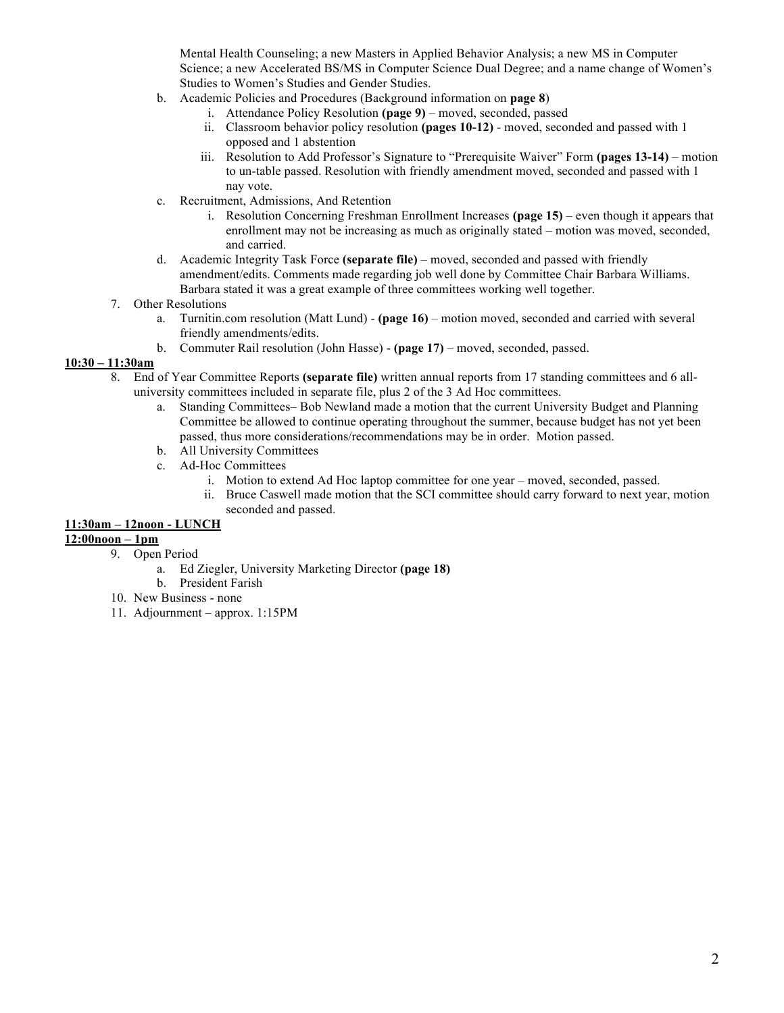Mental Health Counseling; a new Masters in Applied Behavior Analysis; a new MS in Computer Science; a new Accelerated BS/MS in Computer Science Dual Degree; and a name change of Women's Studies to Women's Studies and Gender Studies.

- b. Academic Policies and Procedures (Background information on **page 8**)
	- i. Attendance Policy Resolution **(page 9)** moved, seconded, passed
	- ii. Classroom behavior policy resolution **(pages 10-12)** moved, seconded and passed with 1 opposed and 1 abstention
	- iii. Resolution to Add Professor's Signature to "Prerequisite Waiver" Form **(pages 13-14)** motion to un-table passed. Resolution with friendly amendment moved, seconded and passed with 1 nay vote.
- c. Recruitment, Admissions, And Retention
	- i. Resolution Concerning Freshman Enrollment Increases **(page 15)** even though it appears that enrollment may not be increasing as much as originally stated – motion was moved, seconded, and carried.
- d. Academic Integrity Task Force **(separate file)** moved, seconded and passed with friendly amendment/edits. Comments made regarding job well done by Committee Chair Barbara Williams. Barbara stated it was a great example of three committees working well together.

#### 7. Other Resolutions

- a. Turnitin.com resolution (Matt Lund) **(page 16)** motion moved, seconded and carried with several friendly amendments/edits.
- b. Commuter Rail resolution (John Hasse) **(page 17)** moved, seconded, passed.

#### **10:30 – 11:30am**

- 8. End of Year Committee Reports **(separate file)** written annual reports from 17 standing committees and 6 alluniversity committees included in separate file, plus 2 of the 3 Ad Hoc committees.
	- a. Standing Committees– Bob Newland made a motion that the current University Budget and Planning Committee be allowed to continue operating throughout the summer, because budget has not yet been passed, thus more considerations/recommendations may be in order. Motion passed.
	- b. All University Committees
	- c. Ad-Hoc Committees
		- i. Motion to extend Ad Hoc laptop committee for one year moved, seconded, passed.
		- ii. Bruce Caswell made motion that the SCI committee should carry forward to next year, motion seconded and passed.

#### **11:30am – 12noon - LUNCH**

#### **12:00noon – 1pm**

- 9. Open Period
	- a. Ed Ziegler, University Marketing Director **(page 18)**
	- b. President Farish
- 10. New Business none
- 11. Adjournment approx. 1:15PM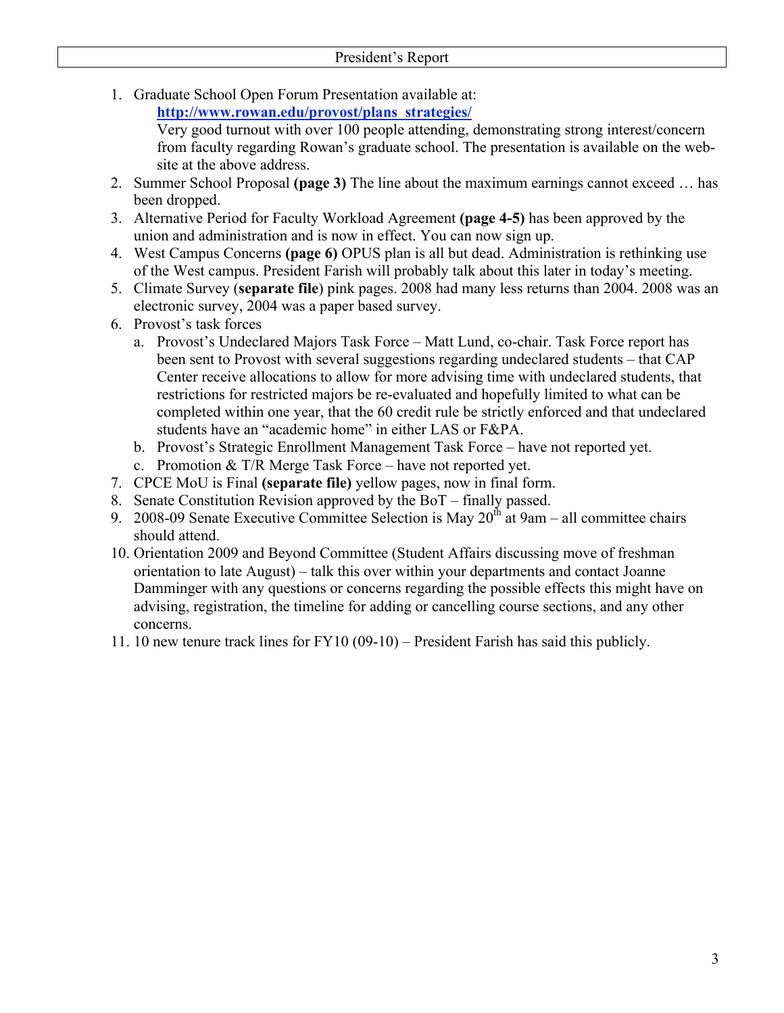- 1. Graduate School Open Forum Presentation available at:
	- **http://www.rowan.edu/provost/plans\_strategies/**

Very good turnout with over 100 people attending, demonstrating strong interest/concern from faculty regarding Rowan's graduate school. The presentation is available on the website at the above address.

- 2. Summer School Proposal **(page 3)** The line about the maximum earnings cannot exceed … has been dropped.
- 3. Alternative Period for Faculty Workload Agreement **(page 4-5)** has been approved by the union and administration and is now in effect. You can now sign up.
- 4. West Campus Concerns **(page 6)** OPUS plan is all but dead. Administration is rethinking use of the West campus. President Farish will probably talk about this later in today's meeting.
- 5. Climate Survey (**separate file**) pink pages. 2008 had many less returns than 2004. 2008 was an electronic survey, 2004 was a paper based survey.
- 6. Provost's task forces
	- a. Provost's Undeclared Majors Task Force Matt Lund, co-chair. Task Force report has been sent to Provost with several suggestions regarding undeclared students – that CAP Center receive allocations to allow for more advising time with undeclared students, that restrictions for restricted majors be re-evaluated and hopefully limited to what can be completed within one year, that the 60 credit rule be strictly enforced and that undeclared students have an "academic home" in either LAS or F&PA.
	- b. Provost's Strategic Enrollment Management Task Force have not reported yet.
	- c. Promotion  $& T/R$  Merge Task Force have not reported yet.
- 7. CPCE MoU is Final **(separate file)** yellow pages, now in final form.
- 8. Senate Constitution Revision approved by the BoT finally passed.
- 9. 2008-09 Senate Executive Committee Selection is May  $20<sup>th</sup>$  at 9am all committee chairs should attend.
- 10. Orientation 2009 and Beyond Committee (Student Affairs discussing move of freshman orientation to late August) – talk this over within your departments and contact Joanne Damminger with any questions or concerns regarding the possible effects this might have on advising, registration, the timeline for adding or cancelling course sections, and any other concerns.
- 11. 10 new tenure track lines for FY10 (09-10) President Farish has said this publicly.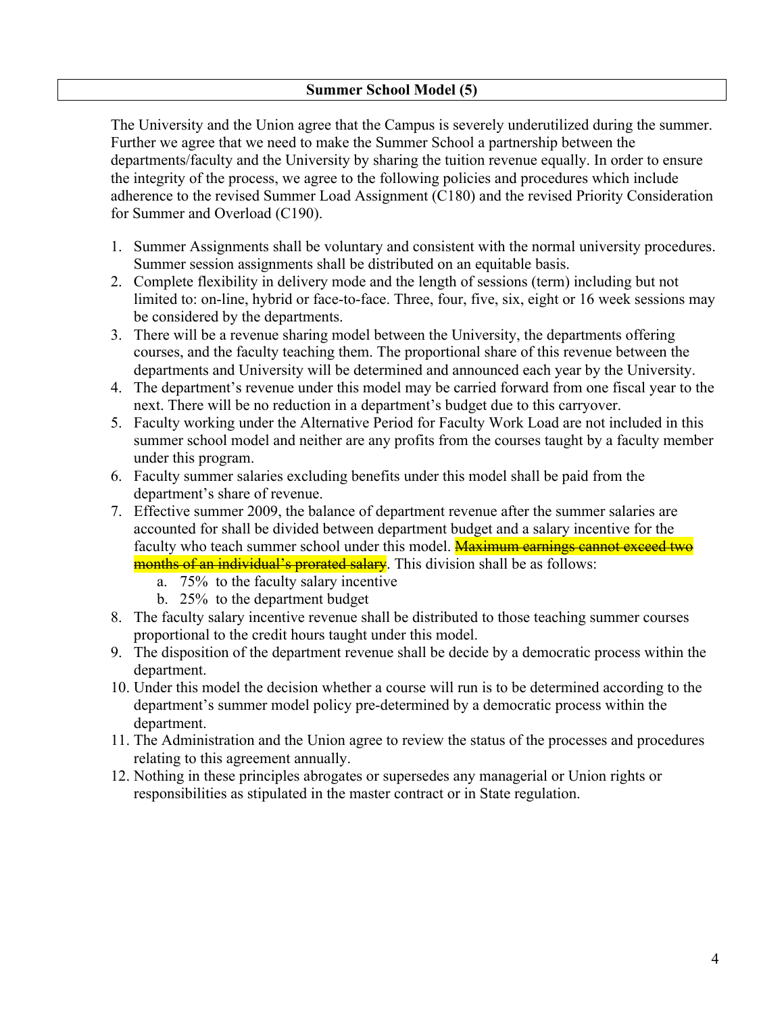### **Summer School Model (5)**

The University and the Union agree that the Campus is severely underutilized during the summer. Further we agree that we need to make the Summer School a partnership between the departments/faculty and the University by sharing the tuition revenue equally. In order to ensure the integrity of the process, we agree to the following policies and procedures which include adherence to the revised Summer Load Assignment (C180) and the revised Priority Consideration for Summer and Overload (C190).

- 1. Summer Assignments shall be voluntary and consistent with the normal university procedures. Summer session assignments shall be distributed on an equitable basis.
- 2. Complete flexibility in delivery mode and the length of sessions (term) including but not limited to: on-line, hybrid or face-to-face. Three, four, five, six, eight or 16 week sessions may be considered by the departments.
- 3. There will be a revenue sharing model between the University, the departments offering courses, and the faculty teaching them. The proportional share of this revenue between the departments and University will be determined and announced each year by the University.
- 4. The department's revenue under this model may be carried forward from one fiscal year to the next. There will be no reduction in a department's budget due to this carryover.
- 5. Faculty working under the Alternative Period for Faculty Work Load are not included in this summer school model and neither are any profits from the courses taught by a faculty member under this program.
- 6. Faculty summer salaries excluding benefits under this model shall be paid from the department's share of revenue.
- 7. Effective summer 2009, the balance of department revenue after the summer salaries are accounted for shall be divided between department budget and a salary incentive for the faculty who teach summer school under this model. **Maximum earnings cannot exceed two** months of an individual's prorated salary. This division shall be as follows:
	- a. 75% to the faculty salary incentive
	- b. 25% to the department budget
- 8. The faculty salary incentive revenue shall be distributed to those teaching summer courses proportional to the credit hours taught under this model.
- 9. The disposition of the department revenue shall be decide by a democratic process within the department.
- 10. Under this model the decision whether a course will run is to be determined according to the department's summer model policy pre-determined by a democratic process within the department.
- 11. The Administration and the Union agree to review the status of the processes and procedures relating to this agreement annually.
- 12. Nothing in these principles abrogates or supersedes any managerial or Union rights or responsibilities as stipulated in the master contract or in State regulation.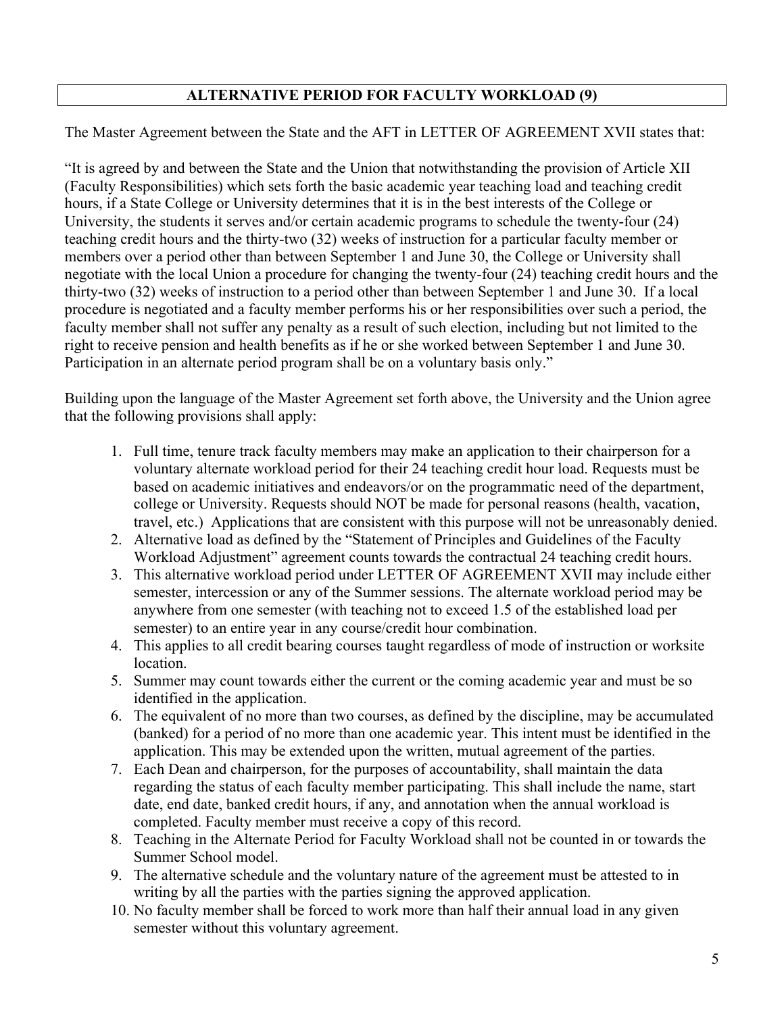## **ALTERNATIVE PERIOD FOR FACULTY WORKLOAD (9)**

The Master Agreement between the State and the AFT in LETTER OF AGREEMENT XVII states that:

"It is agreed by and between the State and the Union that notwithstanding the provision of Article XII (Faculty Responsibilities) which sets forth the basic academic year teaching load and teaching credit hours, if a State College or University determines that it is in the best interests of the College or University, the students it serves and/or certain academic programs to schedule the twenty-four (24) teaching credit hours and the thirty-two (32) weeks of instruction for a particular faculty member or members over a period other than between September 1 and June 30, the College or University shall negotiate with the local Union a procedure for changing the twenty-four (24) teaching credit hours and the thirty-two (32) weeks of instruction to a period other than between September 1 and June 30. If a local procedure is negotiated and a faculty member performs his or her responsibilities over such a period, the faculty member shall not suffer any penalty as a result of such election, including but not limited to the right to receive pension and health benefits as if he or she worked between September 1 and June 30. Participation in an alternate period program shall be on a voluntary basis only."

Building upon the language of the Master Agreement set forth above, the University and the Union agree that the following provisions shall apply:

- 1. Full time, tenure track faculty members may make an application to their chairperson for a voluntary alternate workload period for their 24 teaching credit hour load. Requests must be based on academic initiatives and endeavors/or on the programmatic need of the department, college or University. Requests should NOT be made for personal reasons (health, vacation, travel, etc.) Applications that are consistent with this purpose will not be unreasonably denied.
- 2. Alternative load as defined by the "Statement of Principles and Guidelines of the Faculty Workload Adjustment" agreement counts towards the contractual 24 teaching credit hours.
- 3. This alternative workload period under LETTER OF AGREEMENT XVII may include either semester, intercession or any of the Summer sessions. The alternate workload period may be anywhere from one semester (with teaching not to exceed 1.5 of the established load per semester) to an entire year in any course/credit hour combination.
- 4. This applies to all credit bearing courses taught regardless of mode of instruction or worksite location.
- 5. Summer may count towards either the current or the coming academic year and must be so identified in the application.
- 6. The equivalent of no more than two courses, as defined by the discipline, may be accumulated (banked) for a period of no more than one academic year. This intent must be identified in the application. This may be extended upon the written, mutual agreement of the parties.
- 7. Each Dean and chairperson, for the purposes of accountability, shall maintain the data regarding the status of each faculty member participating. This shall include the name, start date, end date, banked credit hours, if any, and annotation when the annual workload is completed. Faculty member must receive a copy of this record.
- 8. Teaching in the Alternate Period for Faculty Workload shall not be counted in or towards the Summer School model.
- 9. The alternative schedule and the voluntary nature of the agreement must be attested to in writing by all the parties with the parties signing the approved application.
- 10. No faculty member shall be forced to work more than half their annual load in any given semester without this voluntary agreement.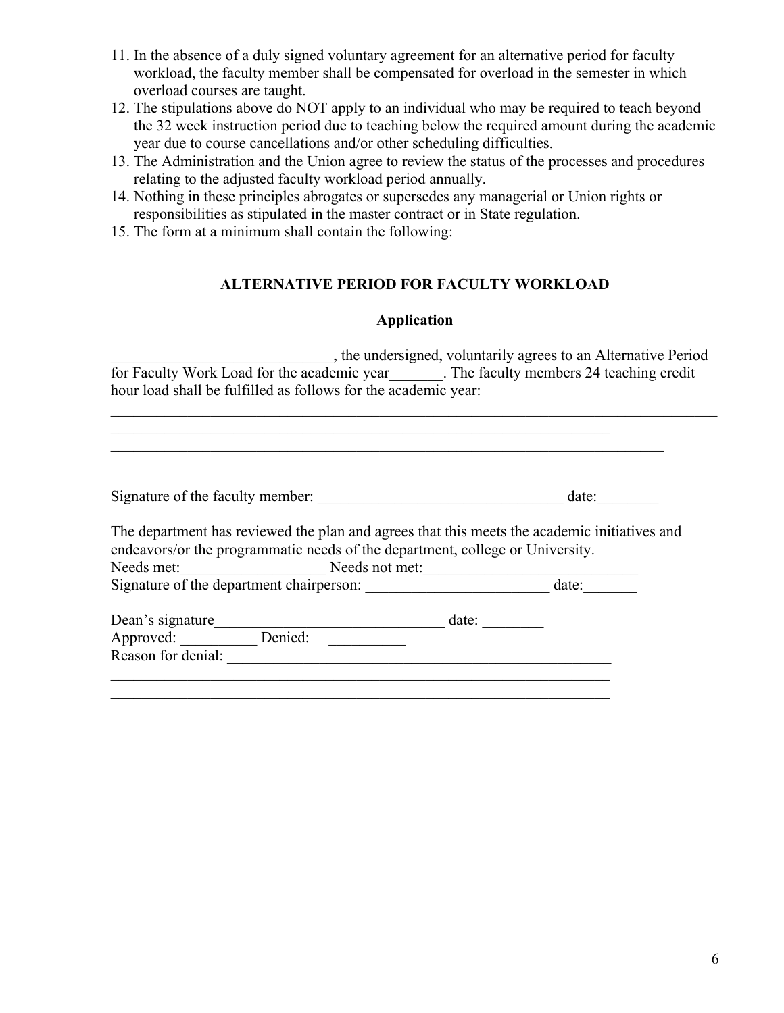- 11. In the absence of a duly signed voluntary agreement for an alternative period for faculty workload, the faculty member shall be compensated for overload in the semester in which overload courses are taught.
- 12. The stipulations above do NOT apply to an individual who may be required to teach beyond the 32 week instruction period due to teaching below the required amount during the academic year due to course cancellations and/or other scheduling difficulties.
- 13. The Administration and the Union agree to review the status of the processes and procedures relating to the adjusted faculty workload period annually.
- 14. Nothing in these principles abrogates or supersedes any managerial or Union rights or responsibilities as stipulated in the master contract or in State regulation.
- 15. The form at a minimum shall contain the following:

## **ALTERNATIVE PERIOD FOR FACULTY WORKLOAD**

### **Application**

\_\_\_\_\_\_\_\_\_\_\_\_\_\_\_\_\_\_\_\_\_\_\_\_\_\_\_\_\_, the undersigned, voluntarily agrees to an Alternative Period for Faculty Work Load for the academic year\_\_\_\_\_\_\_. The faculty members 24 teaching credit hour load shall be fulfilled as follows for the academic year:

 $\_$  , and the contribution of the contribution of the contribution of the contribution of  $\mathcal{L}_\text{max}$ 

| Signature of the faculty member:                                                                                                                                                                                                        |                |       | date: |
|-----------------------------------------------------------------------------------------------------------------------------------------------------------------------------------------------------------------------------------------|----------------|-------|-------|
|                                                                                                                                                                                                                                         |                |       |       |
|                                                                                                                                                                                                                                         |                |       |       |
| The department has reviewed the plan and agrees that this meets the academic initiatives and<br>endeavors/or the programmatic needs of the department, college or University.<br>Needs met:<br>Signature of the department chairperson: | Needs not met: |       | date: |
| Dean's signature<br>Approved:                                                                                                                                                                                                           | Denied:        | date: |       |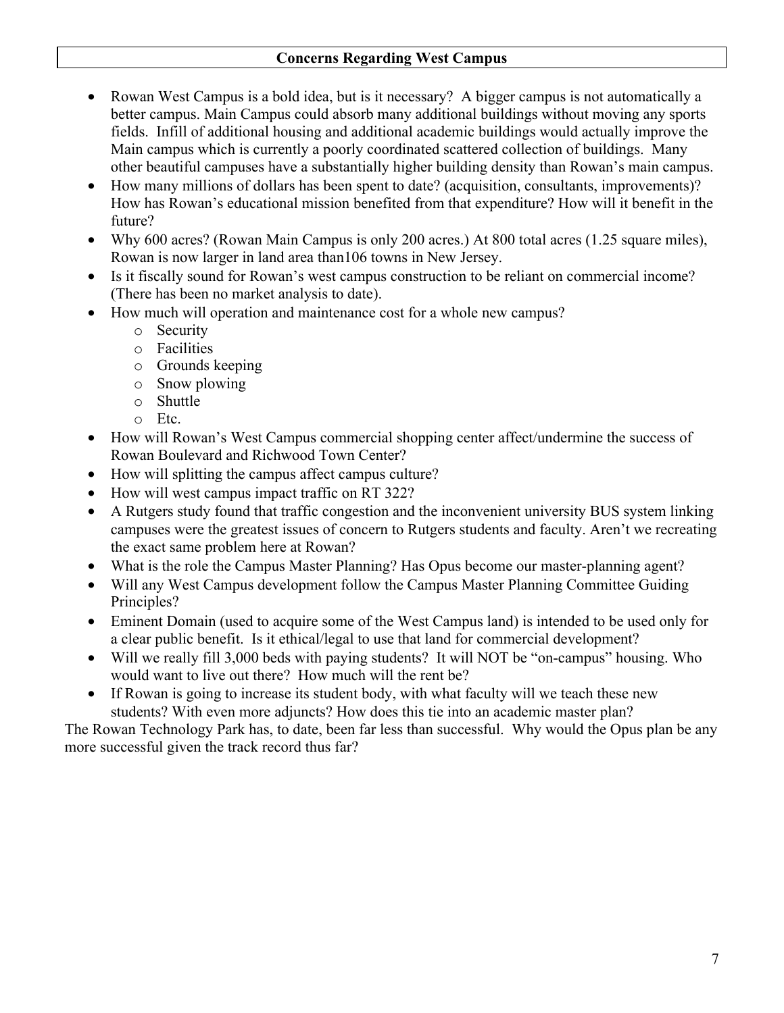### **Concerns Regarding West Campus**

- ∑ Rowan West Campus is a bold idea, but is it necessary? A bigger campus is not automatically a better campus. Main Campus could absorb many additional buildings without moving any sports fields. Infill of additional housing and additional academic buildings would actually improve the Main campus which is currently a poorly coordinated scattered collection of buildings. Many other beautiful campuses have a substantially higher building density than Rowan's main campus.
- How many millions of dollars has been spent to date? (acquisition, consultants, improvements)? How has Rowan's educational mission benefited from that expenditure? How will it benefit in the future?
- Why 600 acres? (Rowan Main Campus is only 200 acres.) At 800 total acres (1.25 square miles), Rowan is now larger in land area than106 towns in New Jersey.
- Is it fiscally sound for Rowan's west campus construction to be reliant on commercial income? (There has been no market analysis to date).
- How much will operation and maintenance cost for a whole new campus?
	- o Security
	- o Facilities
	- o Grounds keeping
	- o Snow plowing
	- o Shuttle
	- o Etc.
- ∑ How will Rowan's West Campus commercial shopping center affect/undermine the success of Rowan Boulevard and Richwood Town Center?
- ∑ How will splitting the campus affect campus culture?
- How will west campus impact traffic on RT 322?
- ∑ A Rutgers study found that traffic congestion and the inconvenient university BUS system linking campuses were the greatest issues of concern to Rutgers students and faculty. Aren't we recreating the exact same problem here at Rowan?
- What is the role the Campus Master Planning? Has Opus become our master-planning agent?
- Will any West Campus development follow the Campus Master Planning Committee Guiding Principles?
- Eminent Domain (used to acquire some of the West Campus land) is intended to be used only for a clear public benefit. Is it ethical/legal to use that land for commercial development?
- Will we really fill 3,000 beds with paying students? It will NOT be "on-campus" housing. Who would want to live out there? How much will the rent be?
- If Rowan is going to increase its student body, with what faculty will we teach these new students? With even more adjuncts? How does this tie into an academic master plan?

The Rowan Technology Park has, to date, been far less than successful. Why would the Opus plan be any more successful given the track record thus far?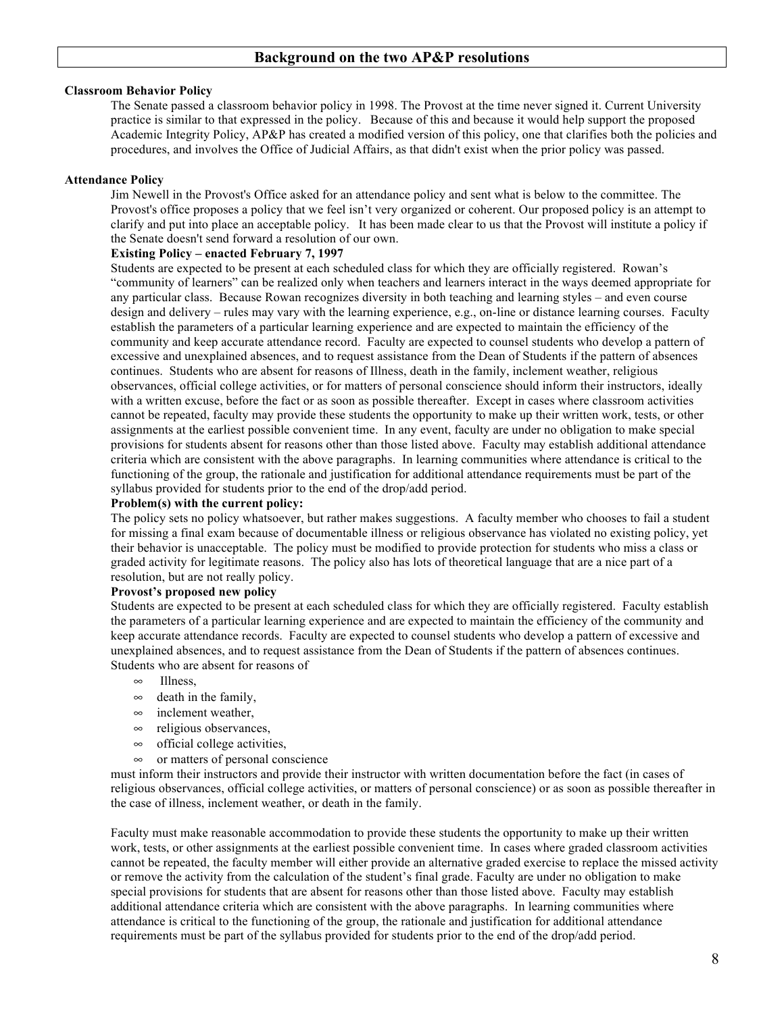#### **Classroom Behavior Policy**

The Senate passed a classroom behavior policy in 1998. The Provost at the time never signed it. Current University practice is similar to that expressed in the policy. Because of this and because it would help support the proposed Academic Integrity Policy, AP&P has created a modified version of this policy, one that clarifies both the policies and procedures, and involves the Office of Judicial Affairs, as that didn't exist when the prior policy was passed.

#### **Attendance Policy**

Jim Newell in the Provost's Office asked for an attendance policy and sent what is below to the committee. The Provost's office proposes a policy that we feel isn't very organized or coherent. Our proposed policy is an attempt to clarify and put into place an acceptable policy. It has been made clear to us that the Provost will institute a policy if the Senate doesn't send forward a resolution of our own.

#### **Existing Policy – enacted February 7, 1997**

Students are expected to be present at each scheduled class for which they are officially registered. Rowan's "community of learners" can be realized only when teachers and learners interact in the ways deemed appropriate for any particular class. Because Rowan recognizes diversity in both teaching and learning styles – and even course design and delivery – rules may vary with the learning experience, e.g., on-line or distance learning courses. Faculty establish the parameters of a particular learning experience and are expected to maintain the efficiency of the community and keep accurate attendance record. Faculty are expected to counsel students who develop a pattern of excessive and unexplained absences, and to request assistance from the Dean of Students if the pattern of absences continues. Students who are absent for reasons of Illness, death in the family, inclement weather, religious observances, official college activities, or for matters of personal conscience should inform their instructors, ideally with a written excuse, before the fact or as soon as possible thereafter. Except in cases where classroom activities cannot be repeated, faculty may provide these students the opportunity to make up their written work, tests, or other assignments at the earliest possible convenient time. In any event, faculty are under no obligation to make special provisions for students absent for reasons other than those listed above. Faculty may establish additional attendance criteria which are consistent with the above paragraphs. In learning communities where attendance is critical to the functioning of the group, the rationale and justification for additional attendance requirements must be part of the syllabus provided for students prior to the end of the drop/add period.

#### **Problem(s) with the current policy:**

The policy sets no policy whatsoever, but rather makes suggestions. A faculty member who chooses to fail a student for missing a final exam because of documentable illness or religious observance has violated no existing policy, yet their behavior is unacceptable. The policy must be modified to provide protection for students who miss a class or graded activity for legitimate reasons. The policy also has lots of theoretical language that are a nice part of a resolution, but are not really policy.

#### **Provost's proposed new policy**

Students are expected to be present at each scheduled class for which they are officially registered. Faculty establish the parameters of a particular learning experience and are expected to maintain the efficiency of the community and keep accurate attendance records. Faculty are expected to counsel students who develop a pattern of excessive and unexplained absences, and to request assistance from the Dean of Students if the pattern of absences continues. Students who are absent for reasons of

- $\infty$  Illness
- $\infty$  death in the family,
- $\infty$  inclement weather,
- $\infty$  religious observances,
- $\infty$  official college activities,
- $\infty$  or matters of personal conscience

must inform their instructors and provide their instructor with written documentation before the fact (in cases of religious observances, official college activities, or matters of personal conscience) or as soon as possible thereafter in the case of illness, inclement weather, or death in the family.

Faculty must make reasonable accommodation to provide these students the opportunity to make up their written work, tests, or other assignments at the earliest possible convenient time. In cases where graded classroom activities cannot be repeated, the faculty member will either provide an alternative graded exercise to replace the missed activity or remove the activity from the calculation of the student's final grade. Faculty are under no obligation to make special provisions for students that are absent for reasons other than those listed above. Faculty may establish additional attendance criteria which are consistent with the above paragraphs. In learning communities where attendance is critical to the functioning of the group, the rationale and justification for additional attendance requirements must be part of the syllabus provided for students prior to the end of the drop/add period.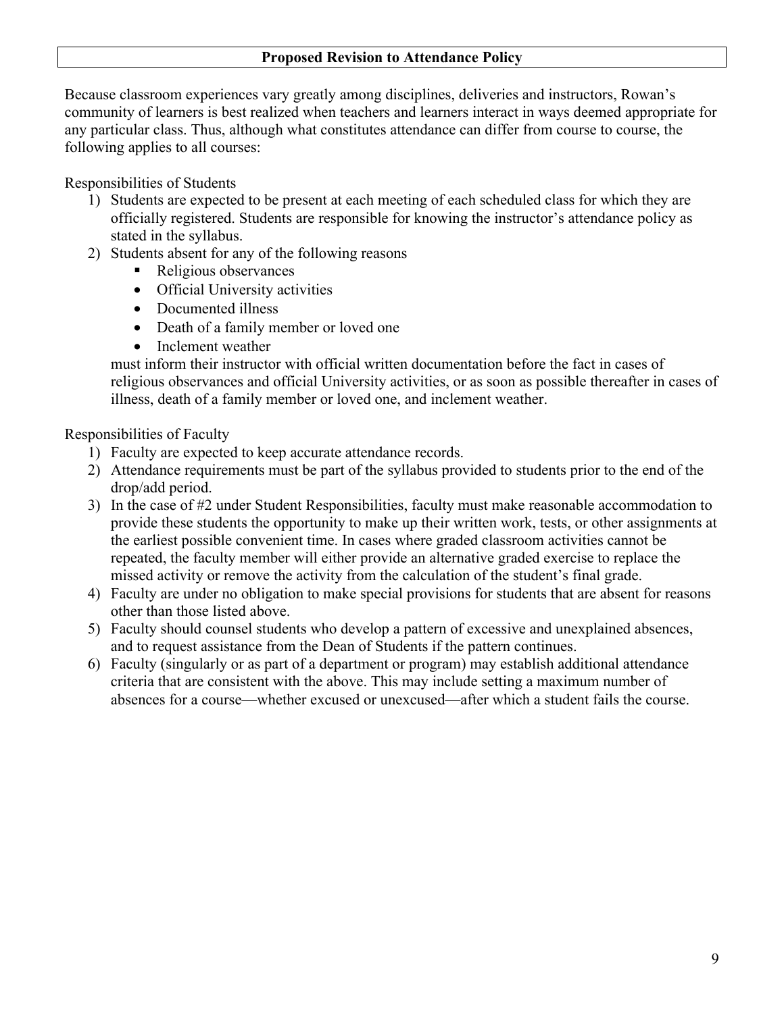### **Proposed Revision to Attendance Policy**

Because classroom experiences vary greatly among disciplines, deliveries and instructors, Rowan's community of learners is best realized when teachers and learners interact in ways deemed appropriate for any particular class. Thus, although what constitutes attendance can differ from course to course, the following applies to all courses:

Responsibilities of Students

- 1) Students are expected to be present at each meeting of each scheduled class for which they are officially registered. Students are responsible for knowing the instructor's attendance policy as stated in the syllabus.
- 2) Students absent for any of the following reasons
	- Religious observances
	- Official University activities
	- Documented illness
	- Death of a family member or loved one
	- Inclement weather

must inform their instructor with official written documentation before the fact in cases of religious observances and official University activities, or as soon as possible thereafter in cases of illness, death of a family member or loved one, and inclement weather.

### Responsibilities of Faculty

- 1) Faculty are expected to keep accurate attendance records.
- 2) Attendance requirements must be part of the syllabus provided to students prior to the end of the drop/add period.
- 3) In the case of #2 under Student Responsibilities, faculty must make reasonable accommodation to provide these students the opportunity to make up their written work, tests, or other assignments at the earliest possible convenient time. In cases where graded classroom activities cannot be repeated, the faculty member will either provide an alternative graded exercise to replace the missed activity or remove the activity from the calculation of the student's final grade.
- 4) Faculty are under no obligation to make special provisions for students that are absent for reasons other than those listed above.
- 5) Faculty should counsel students who develop a pattern of excessive and unexplained absences, and to request assistance from the Dean of Students if the pattern continues.
- 6) Faculty (singularly or as part of a department or program) may establish additional attendance criteria that are consistent with the above. This may include setting a maximum number of absences for a course—whether excused or unexcused—after which a student fails the course.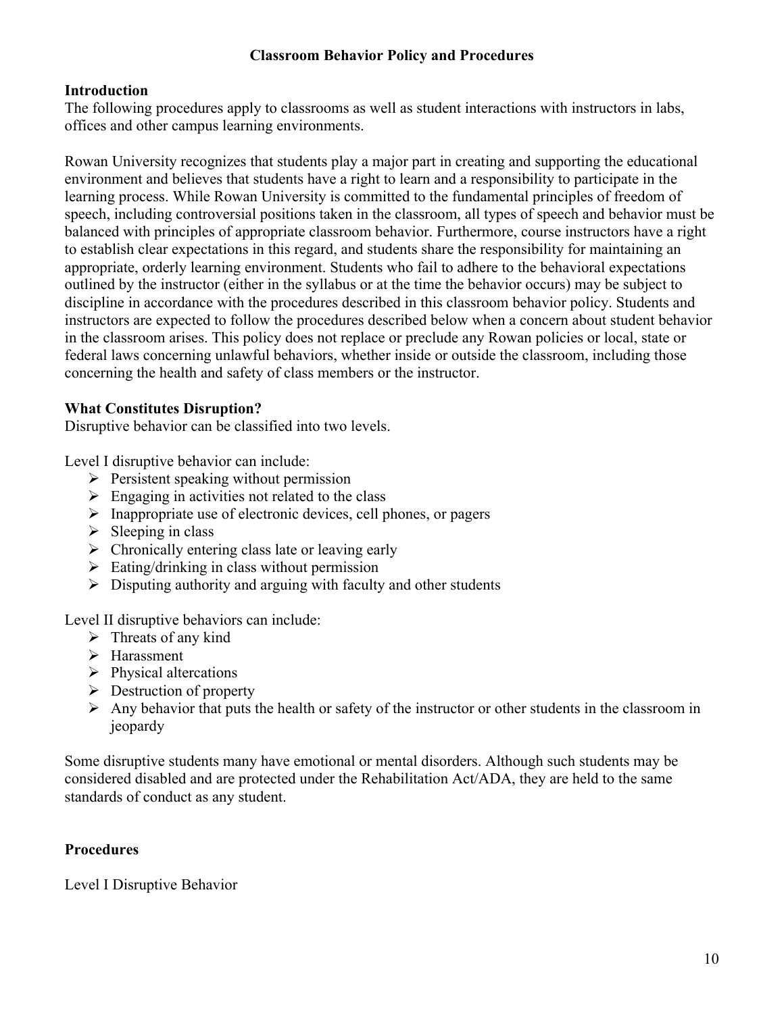### **Classroom Behavior Policy and Procedures**

## **Introduction**

The following procedures apply to classrooms as well as student interactions with instructors in labs, offices and other campus learning environments.

Rowan University recognizes that students play a major part in creating and supporting the educational environment and believes that students have a right to learn and a responsibility to participate in the learning process. While Rowan University is committed to the fundamental principles of freedom of speech, including controversial positions taken in the classroom, all types of speech and behavior must be balanced with principles of appropriate classroom behavior. Furthermore, course instructors have a right to establish clear expectations in this regard, and students share the responsibility for maintaining an appropriate, orderly learning environment. Students who fail to adhere to the behavioral expectations outlined by the instructor (either in the syllabus or at the time the behavior occurs) may be subject to discipline in accordance with the procedures described in this classroom behavior policy. Students and instructors are expected to follow the procedures described below when a concern about student behavior in the classroom arises. This policy does not replace or preclude any Rowan policies or local, state or federal laws concerning unlawful behaviors, whether inside or outside the classroom, including those concerning the health and safety of class members or the instructor.

## **What Constitutes Disruption?**

Disruptive behavior can be classified into two levels.

Level I disruptive behavior can include:

- $\triangleright$  Persistent speaking without permission
- $\triangleright$  Engaging in activities not related to the class
- $\triangleright$  Inappropriate use of electronic devices, cell phones, or pagers
- $\triangleright$  Sleeping in class
- $\triangleright$  Chronically entering class late or leaving early
- $\triangleright$  Eating/drinking in class without permission
- $\triangleright$  Disputing authority and arguing with faculty and other students

Level II disruptive behaviors can include:

- $\triangleright$  Threats of any kind
- > Harassment
- $\triangleright$  Physical altercations
- $\triangleright$  Destruction of property
- $\triangleright$  Any behavior that puts the health or safety of the instructor or other students in the classroom in jeopardy

Some disruptive students many have emotional or mental disorders. Although such students may be considered disabled and are protected under the Rehabilitation Act/ADA, they are held to the same standards of conduct as any student.

## **Procedures**

Level I Disruptive Behavior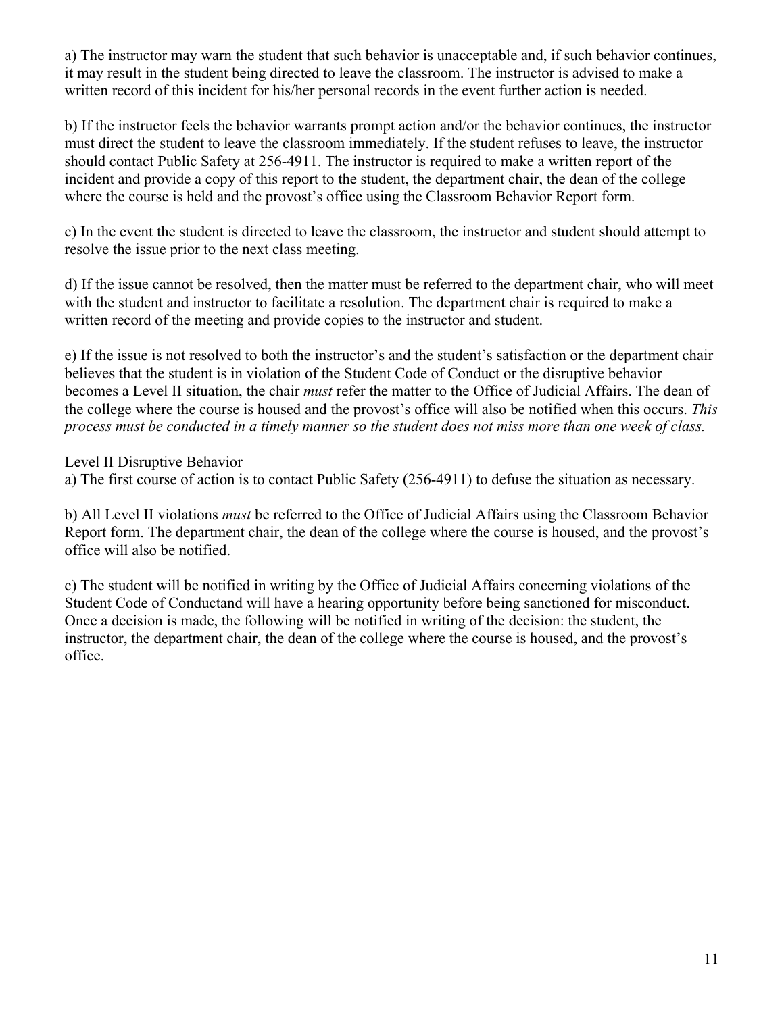a) The instructor may warn the student that such behavior is unacceptable and, if such behavior continues, it may result in the student being directed to leave the classroom. The instructor is advised to make a written record of this incident for his/her personal records in the event further action is needed.

b) If the instructor feels the behavior warrants prompt action and/or the behavior continues, the instructor must direct the student to leave the classroom immediately. If the student refuses to leave, the instructor should contact Public Safety at 256-4911. The instructor is required to make a written report of the incident and provide a copy of this report to the student, the department chair, the dean of the college where the course is held and the provost's office using the Classroom Behavior Report form.

c) In the event the student is directed to leave the classroom, the instructor and student should attempt to resolve the issue prior to the next class meeting.

d) If the issue cannot be resolved, then the matter must be referred to the department chair, who will meet with the student and instructor to facilitate a resolution. The department chair is required to make a written record of the meeting and provide copies to the instructor and student.

e) If the issue is not resolved to both the instructor's and the student's satisfaction or the department chair believes that the student is in violation of the Student Code of Conduct or the disruptive behavior becomes a Level II situation, the chair *must* refer the matter to the Office of Judicial Affairs. The dean of the college where the course is housed and the provost's office will also be notified when this occurs. *This process must be conducted in a timely manner so the student does not miss more than one week of class.*

Level II Disruptive Behavior

a) The first course of action is to contact Public Safety (256-4911) to defuse the situation as necessary.

b) All Level II violations *must* be referred to the Office of Judicial Affairs using the Classroom Behavior Report form. The department chair, the dean of the college where the course is housed, and the provost's office will also be notified.

c) The student will be notified in writing by the Office of Judicial Affairs concerning violations of the Student Code of Conductand will have a hearing opportunity before being sanctioned for misconduct. Once a decision is made, the following will be notified in writing of the decision: the student, the instructor, the department chair, the dean of the college where the course is housed, and the provost's office.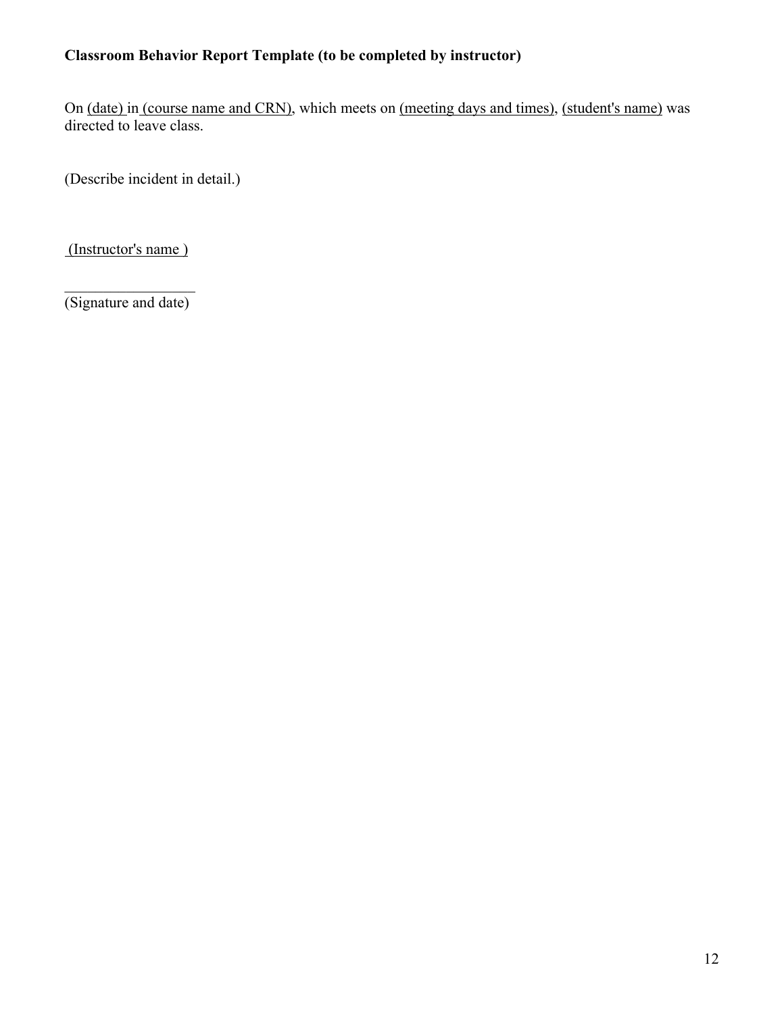## **Classroom Behavior Report Template (to be completed by instructor)**

On (date) in (course name and CRN), which meets on (meeting days and times), (student's name) was directed to leave class.

(Describe incident in detail.)

(Instructor's name )

 $\frac{1}{2}$  ,  $\frac{1}{2}$  ,  $\frac{1}{2}$  ,  $\frac{1}{2}$  ,  $\frac{1}{2}$  ,  $\frac{1}{2}$  ,  $\frac{1}{2}$  ,  $\frac{1}{2}$  ,  $\frac{1}{2}$ (Signature and date)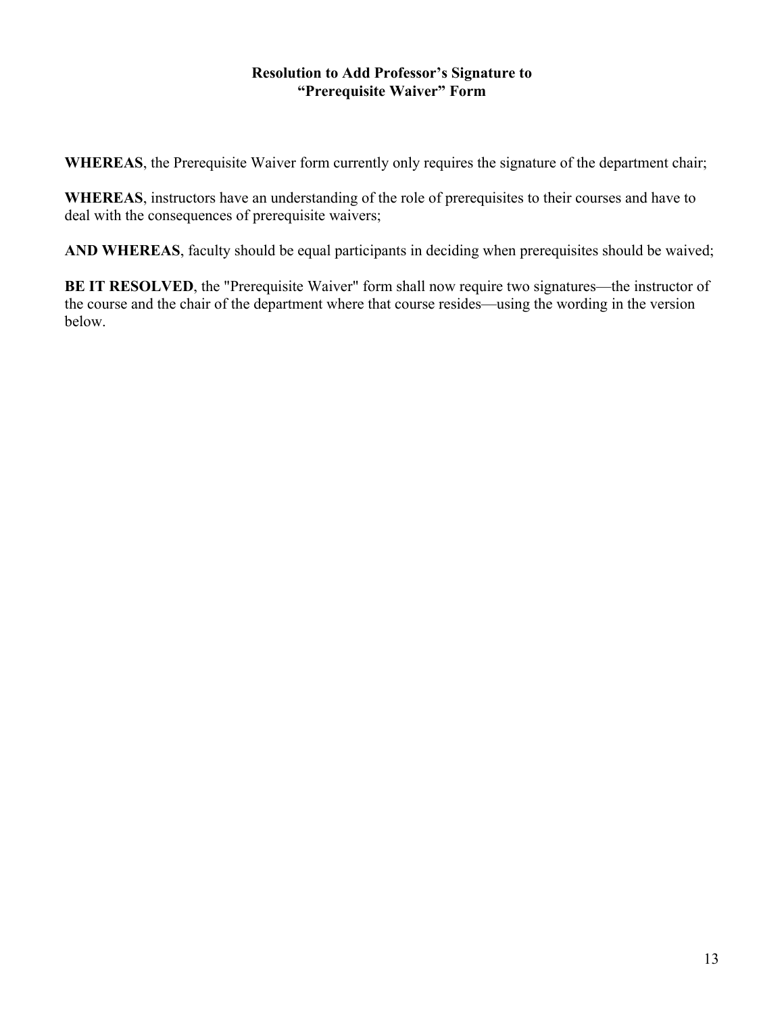### **Resolution to Add Professor's Signature to "Prerequisite Waiver" Form**

**WHEREAS**, the Prerequisite Waiver form currently only requires the signature of the department chair;

**WHEREAS**, instructors have an understanding of the role of prerequisites to their courses and have to deal with the consequences of prerequisite waivers;

**AND WHEREAS**, faculty should be equal participants in deciding when prerequisites should be waived;

**BE IT RESOLVED**, the "Prerequisite Waiver" form shall now require two signatures—the instructor of the course and the chair of the department where that course resides—using the wording in the version below.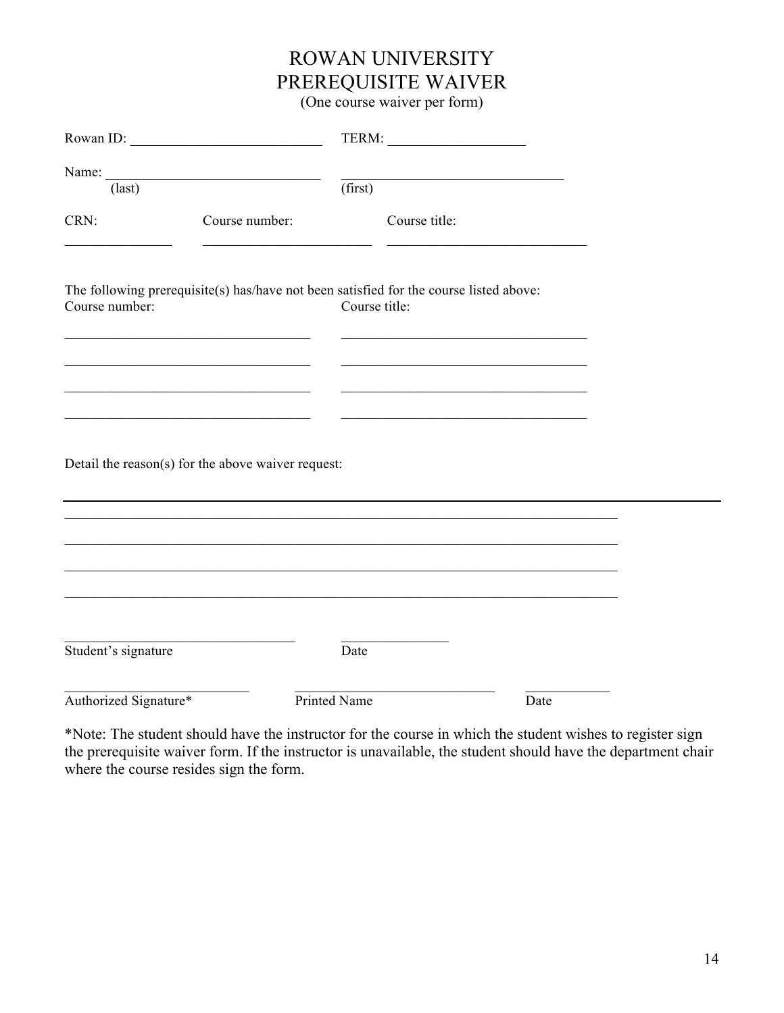# ROWAN UNIVERSITY PREREQUISITE WAIVER

(One course waiver per form)

| Rowan ID:             |                                                                                        |                     |               |      |  |
|-----------------------|----------------------------------------------------------------------------------------|---------------------|---------------|------|--|
|                       | Name:                                                                                  |                     |               |      |  |
| $\text{(last)}$       |                                                                                        |                     | (first)       |      |  |
| CRN:                  | Course number:                                                                         |                     | Course title: |      |  |
| Course number:        | The following prerequisite(s) has/have not been satisfied for the course listed above: | Course title:       |               |      |  |
|                       |                                                                                        |                     |               |      |  |
|                       | Detail the reason(s) for the above waiver request:                                     |                     |               |      |  |
|                       |                                                                                        |                     |               |      |  |
|                       |                                                                                        |                     |               |      |  |
| Student's signature   |                                                                                        | Date                |               |      |  |
| Authorized Signature* |                                                                                        | <b>Printed Name</b> |               | Date |  |

\*Note: The student should have the instructor for the course in which the student wishes to register sign the prerequisite waiver form. If the instructor is unavailable, the student should have the department chair where the course resides sign the form.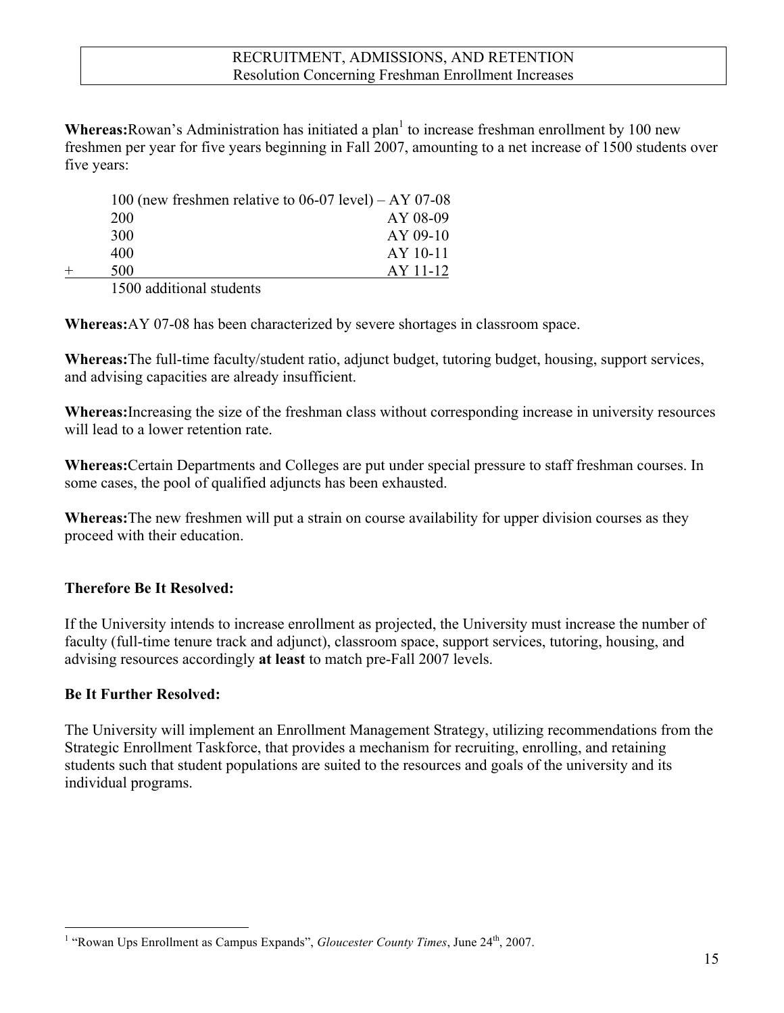**Whereas:** Rowan's Administration has initiated a plan<sup>1</sup> to increase freshman enrollment by 100 new freshmen per year for five years beginning in Fall 2007, amounting to a net increase of 1500 students over five years:

|     | 100 (new freshmen relative to $06-07$ level) – AY 07-08 |
|-----|---------------------------------------------------------|
| 200 | AY 08-09                                                |
| 300 | AY 09-10                                                |
| 400 | $AY$ 10-11                                              |
| 500 | AY 11-12                                                |
|     |                                                         |

1500 additional students

**Whereas:**AY 07-08 has been characterized by severe shortages in classroom space.

**Whereas:**The full-time faculty/student ratio, adjunct budget, tutoring budget, housing, support services, and advising capacities are already insufficient.

**Whereas:**Increasing the size of the freshman class without corresponding increase in university resources will lead to a lower retention rate.

**Whereas:**Certain Departments and Colleges are put under special pressure to staff freshman courses. In some cases, the pool of qualified adjuncts has been exhausted.

**Whereas:**The new freshmen will put a strain on course availability for upper division courses as they proceed with their education.

## **Therefore Be It Resolved:**

If the University intends to increase enrollment as projected, the University must increase the number of faculty (full-time tenure track and adjunct), classroom space, support services, tutoring, housing, and advising resources accordingly **at least** to match pre-Fall 2007 levels.

## **Be It Further Resolved:**

The University will implement an Enrollment Management Strategy, utilizing recommendations from the Strategic Enrollment Taskforce, that provides a mechanism for recruiting, enrolling, and retaining students such that student populations are suited to the resources and goals of the university and its individual programs.

 $\frac{1}{1}$ <sup>1</sup> "Rowan Ups Enrollment as Campus Expands", *Gloucester County Times*, June 24<sup>th</sup>, 2007.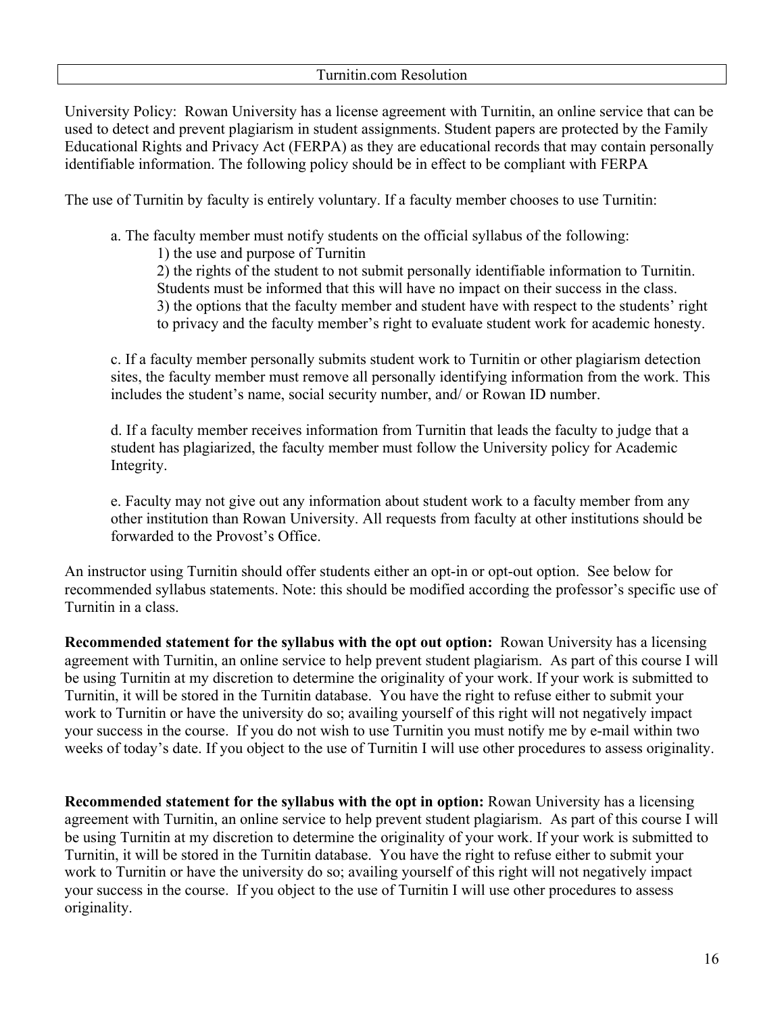University Policy: Rowan University has a license agreement with Turnitin, an online service that can be used to detect and prevent plagiarism in student assignments. Student papers are protected by the Family Educational Rights and Privacy Act (FERPA) as they are educational records that may contain personally identifiable information. The following policy should be in effect to be compliant with FERPA

The use of Turnitin by faculty is entirely voluntary. If a faculty member chooses to use Turnitin:

a. The faculty member must notify students on the official syllabus of the following:

1) the use and purpose of Turnitin

2) the rights of the student to not submit personally identifiable information to Turnitin. Students must be informed that this will have no impact on their success in the class.

- 3) the options that the faculty member and student have with respect to the students' right
- to privacy and the faculty member's right to evaluate student work for academic honesty.

c. If a faculty member personally submits student work to Turnitin or other plagiarism detection sites, the faculty member must remove all personally identifying information from the work. This includes the student's name, social security number, and/ or Rowan ID number.

d. If a faculty member receives information from Turnitin that leads the faculty to judge that a student has plagiarized, the faculty member must follow the University policy for Academic Integrity.

e. Faculty may not give out any information about student work to a faculty member from any other institution than Rowan University. All requests from faculty at other institutions should be forwarded to the Provost's Office.

An instructor using Turnitin should offer students either an opt-in or opt-out option. See below for recommended syllabus statements. Note: this should be modified according the professor's specific use of Turnitin in a class.

**Recommended statement for the syllabus with the opt out option:** Rowan University has a licensing agreement with Turnitin, an online service to help prevent student plagiarism. As part of this course I will be using Turnitin at my discretion to determine the originality of your work. If your work is submitted to Turnitin, it will be stored in the Turnitin database. You have the right to refuse either to submit your work to Turnitin or have the university do so; availing yourself of this right will not negatively impact your success in the course. If you do not wish to use Turnitin you must notify me by e-mail within two weeks of today's date. If you object to the use of Turnitin I will use other procedures to assess originality.

**Recommended statement for the syllabus with the opt in option:** Rowan University has a licensing agreement with Turnitin, an online service to help prevent student plagiarism. As part of this course I will be using Turnitin at my discretion to determine the originality of your work. If your work is submitted to Turnitin, it will be stored in the Turnitin database. You have the right to refuse either to submit your work to Turnitin or have the university do so; availing yourself of this right will not negatively impact your success in the course. If you object to the use of Turnitin I will use other procedures to assess originality.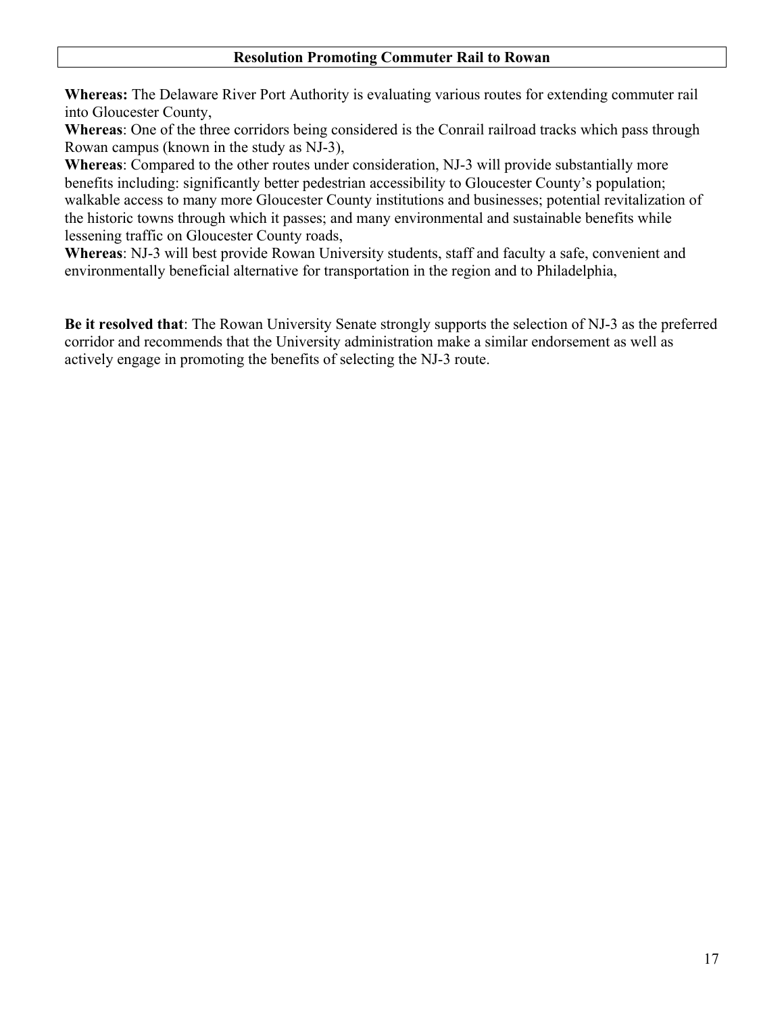### **Resolution Promoting Commuter Rail to Rowan**

**Whereas:** The Delaware River Port Authority is evaluating various routes for extending commuter rail into Gloucester County,

**Whereas**: One of the three corridors being considered is the Conrail railroad tracks which pass through Rowan campus (known in the study as NJ-3),

**Whereas**: Compared to the other routes under consideration, NJ-3 will provide substantially more benefits including: significantly better pedestrian accessibility to Gloucester County's population; walkable access to many more Gloucester County institutions and businesses; potential revitalization of the historic towns through which it passes; and many environmental and sustainable benefits while lessening traffic on Gloucester County roads,

**Whereas**: NJ-3 will best provide Rowan University students, staff and faculty a safe, convenient and environmentally beneficial alternative for transportation in the region and to Philadelphia,

**Be it resolved that**: The Rowan University Senate strongly supports the selection of NJ-3 as the preferred corridor and recommends that the University administration make a similar endorsement as well as actively engage in promoting the benefits of selecting the NJ-3 route.